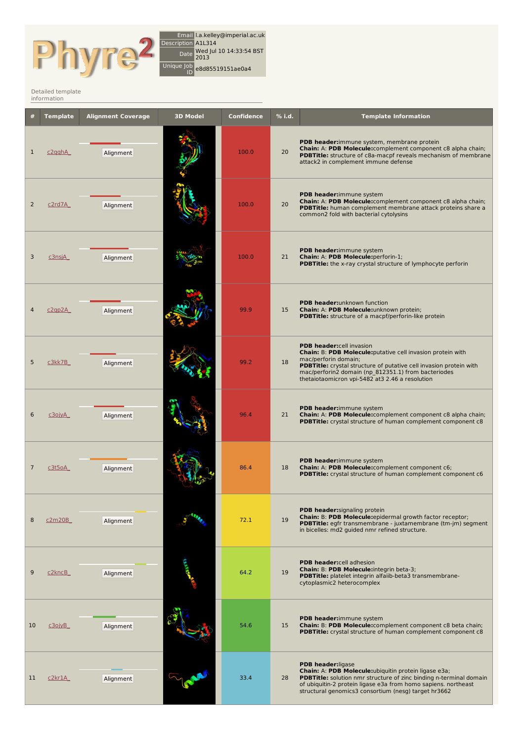

Email l.a.kelley@imperial.ac.uk Description A1L314 Date Wed Jul <sup>10</sup> 14:33:54 BST 2013 Unique Job ID e8d85519151ae0a4

## Detailed [template](http://www.sbg.bio.ic.ac.uk/phyre2/index.cgi) information

|    | <b>Template</b> | <b>Alignment Coverage</b> | <b>3D Model</b> | <b>Confidence</b> | % i.d. | <b>Template Information</b>                                                                                                                                                                                                                                                                     |
|----|-----------------|---------------------------|-----------------|-------------------|--------|-------------------------------------------------------------------------------------------------------------------------------------------------------------------------------------------------------------------------------------------------------------------------------------------------|
| 1  | c2qqhA          | Alignment                 |                 | 100.0             | 20     | PDB header: immune system, membrane protein<br>Chain: A: PDB Molecule: complement component c8 alpha chain;<br>PDBTitle: structure of c8a-macpf reveals mechanism of membrane<br>attack2 in complement immune defense                                                                           |
| 2  | c2rd7A          | Alignment                 |                 | 100.0             | 20     | PDB header:immune system<br>Chain: A: PDB Molecule: complement component c8 alpha chain;<br>PDBTitle: human complement membrane attack proteins share a<br>common2 fold with bacterial cytolysins                                                                                               |
| 3  | <u>c3nsjA </u>  | Alignment                 |                 | 100.0             | 21     | PDB header:immune system<br>Chain: A: PDB Molecule: perforin-1;<br><b>PDBTitle:</b> the x-ray crystal structure of lymphocyte perforin                                                                                                                                                          |
|    | c2qp2A          | Alignment                 |                 | 99.9              | 15     | PDB header: unknown function<br>Chain: A: PDB Molecule:unknown protein;<br>PDBTitle: structure of a macpf/perforin-like protein                                                                                                                                                                 |
| 5  | c3kk7B          | Alignment                 |                 | 99.2              | 18     | PDB header:cell invasion<br>Chain: B: PDB Molecule: putative cell invasion protein with<br>mac/perforin domain;<br>PDBTitle: crystal structure of putative cell invasion protein with<br>mac/perforin2 domain (np_812351.1) from bacteriodes<br>thetaiotaomicron vpi-5482 at3 2.46 a resolution |
| 6  | <u>сЗојуА </u>  | Alignment                 |                 | 96.4              | 21     | PDB header:immune system<br>Chain: A: PDB Molecule: complement component c8 alpha chain;<br>PDBTitle: crystal structure of human complement component c8                                                                                                                                        |
| 7  | c3t5oA          | Alignment                 |                 | 86.4              | 18     | PDB header:immune system<br>Chain: A: PDB Molecule:complement component c6;<br>PDBTitle: crystal structure of human complement component c6                                                                                                                                                     |
| 8  | <u>c2m20B</u>   | Alignment                 |                 | 72.1              | 19     | PDB header:signaling protein<br>Chain: B: PDB Molecule: epidermal growth factor receptor;<br><b>PDBTitle:</b> egfr transmembrane - juxtamembrane (tm-jm) segment<br>in bicelles: md2 quided nmr refined structure.                                                                              |
| 9  | c2kncB          | Alignment                 |                 | 64.2              | 19     | <b>PDB header:cell adhesion</b><br>Chain: B: PDB Molecule: integrin beta-3;<br><b>PDBTitle:</b> platelet integrin alfaiib-beta3 transmembrane-<br>cytoplasmic2 heterocomplex                                                                                                                    |
| 10 | c3ojyB_         | Alignment                 |                 | 54.6              | 15     | PDB header:immune system<br><b>Chain: B: PDB Molecule:</b> complement component c8 beta chain;<br>PDBTitle: crystal structure of human complement component c8                                                                                                                                  |
| 11 | c2kr1A          | Alignment                 |                 | 33.4              | 28     | <b>PDB header:</b> ligase<br>Chain: A: PDB Molecule:ubiquitin protein ligase e3a;<br><b>PDBTitle:</b> solution nmr structure of zinc binding n-terminal domain<br>of ubiquitin-2 protein ligase e3a from homo sapiens. northeast<br>structural genomics3 consortium (nesg) target hr3662        |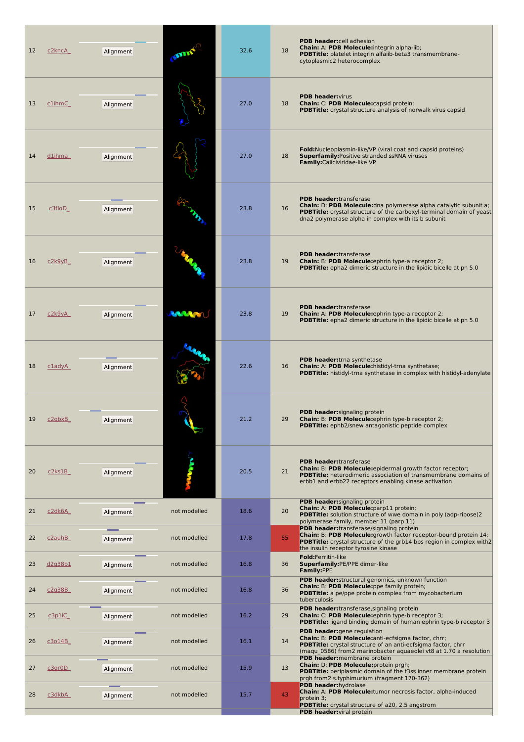| 12 | c2kncA         | Alignment |              | 32.6 | <b>PDB header:cell adhesion</b><br>Chain: A: PDB Molecule: integrin alpha-iib;<br>18<br><b>PDBTitle:</b> platelet integrin alfaiib-beta3 transmembrane-<br>cytoplasmic2 heterocomplex                                                            |
|----|----------------|-----------|--------------|------|--------------------------------------------------------------------------------------------------------------------------------------------------------------------------------------------------------------------------------------------------|
| 13 | c1ihmC         | Alignment |              | 27.0 | <b>PDB header:</b> virus<br>18<br>Chain: C: PDB Molecule: capsid protein;<br><b>PDBTitle:</b> crystal structure analysis of norwalk virus capsid                                                                                                 |
| 14 | d1ihma         | Alignment |              | 27.0 | <b>Fold:</b> Nucleoplasmin-like/VP (viral coat and capsid proteins)<br><b>Superfamily: Positive stranded ssRNA viruses</b><br>18<br>Family:Caliciviridae-like VP                                                                                 |
| 15 | <u>c3floD</u>  | Alignment |              | 23.8 | <b>PDB header:</b> transferase<br>Chain: D: PDB Molecule: dna polymerase alpha catalytic subunit a;<br>16<br><b>PDBTitle:</b> crystal structure of the carboxyl-terminal domain of yeast<br>dna2 polymerase alpha in complex with its b subunit  |
| 16 | c2k9vB         | Alignment |              | 23.8 | <b>PDB header:</b> transferase<br>19<br><b>Chain: B: PDB Molecule:</b> ephrin type-a receptor 2;<br><b>PDBTitle:</b> epha2 dimeric structure in the lipidic bicelle at ph 5.0                                                                    |
| 17 | <u>c2k9yA</u>  | Alignment | <b>WWW.</b>  | 23.8 | <b>PDB header:</b> transferase<br>19<br><b>Chain: A: PDB Molecule:</b> ephrin type-a receptor 2;<br><b>PDBTitle:</b> epha2 dimeric structure in the lipidic bicelle at ph 5.0                                                                    |
| 18 | $c$ lady $A$   | Alignment |              | 22.6 | PDB header:trna synthetase<br>Chain: A: PDB Molecule:histidyl-trna synthetase;<br>16<br>PDBTitle: histidyl-trna synthetase in complex with histidyl-adenylate                                                                                    |
| 19 | c2abxB         | Alignment |              | 21.2 | <b>PDB header:</b> signaling protein<br>Chain: B: PDB Molecule: ephrin type-b receptor 2;<br>29<br>PDBTitle: ephb2/snew antagonistic peptide complex                                                                                             |
| 20 | c2ks1B         | Alignment |              | 20.5 | <b>PDB header:</b> transferase<br>Chain: B: PDB Molecule:epidermal growth factor receptor;<br>21<br><b>PDBTitle:</b> heterodimeric association of transmembrane domains of<br>erbb1 and erbb22 receptors enabling kinase activation              |
| 21 | c2dk6A         | Alignment | not modelled | 18.6 | <b>PDB header:</b> signaling protein<br>Chain: A: PDB Molecule:parp11 protein;<br>20<br><b>PDBTitle:</b> solution structure of wwe domain in poly (adp-ribose)2<br>polymerase family, member 11 (parp 11)                                        |
| 22 | c2auhB         | Alignment | not modelled | 17.8 | <b>PDB header:</b> transferase/signaling protein<br>Chain: B: PDB Molecule:growth factor receptor-bound protein 14;<br>55<br><b>PDBTitle:</b> crystal structure of the grb14 bps region in complex with2<br>the insulin receptor tyrosine kinase |
| 23 | <u>d2g38b1</u> | Alignment | not modelled | 16.8 | Fold:Ferritin-like<br>36<br>Superfamily:PE/PPE dimer-like<br>Family:PPE                                                                                                                                                                          |
| 24 | c2g38B         | Alignment | not modelled | 16.8 | PDB header: structural genomics, unknown function<br>Chain: B: PDB Molecule:ppe family protein;<br>36<br><b>PDBTitle:</b> a pe/ppe protein complex from mycobacterium<br>tuberculosis                                                            |
| 25 | c3p1iC         | Alignment | not modelled | 16.2 | <b>PDB header:</b> transferase, signaling protein<br>29<br>Chain: C: PDB Molecule: ephrin type-b receptor 3;<br><b>PDBTitle:</b> ligand binding domain of human ephrin type-b receptor 3                                                         |
| 26 | c3o14B         | Alignment | not modelled | 16.1 | PDB header: gene regulation<br>Chain: B: PDB Molecule: anti-ecfsigma factor, chrr;<br>14<br>PDBTitle: crystal structure of an anti-ecfsigma factor, chrr<br>(magu 0586) from2 marinobacter aquaeolei vt8 at 1.70 a resolution                    |
| 27 | c3gr0D         | Alignment | not modelled | 15.9 | PDB header: membrane protein<br>Chain: D: PDB Molecule: protein prgh;<br>13<br>PDBTitle: periplasmic domain of the t3ss inner membrane protein<br>prgh from2 s.typhimurium (fragment 170-362)                                                    |
| 28 | c3dkbA         | Alignment | not modelled | 15.7 | PDB header:hydrolase<br>Chain: A: PDB Molecule: tumor necrosis factor, alpha-induced<br>43<br>protein 3;<br><b>PDBTitle:</b> crystal structure of a20, 2.5 angstrom<br>PDB header: viral protein                                                 |
|    |                |           |              |      |                                                                                                                                                                                                                                                  |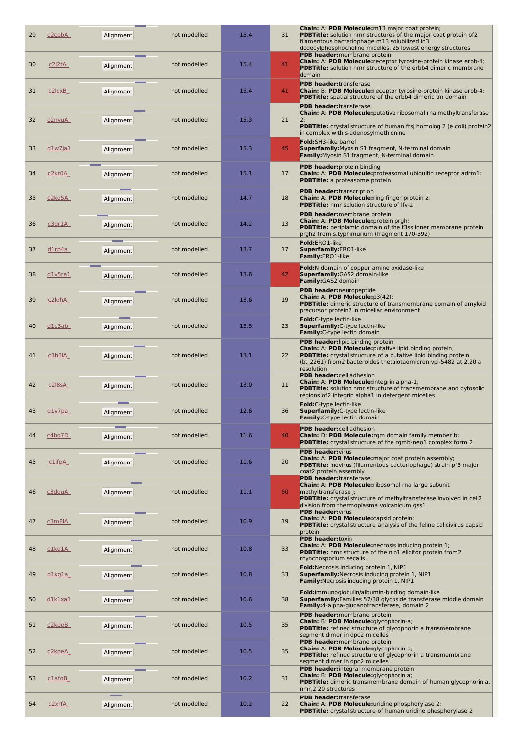| 29 | <u>c2cpbA</u>  | Alignment | not modelled | 15.4 | 31 | Chain: A: PDB Molecule: m13 major coat prote<br><b>PDBTitle:</b> solution nmr structures of the major of<br>filamentous bacteriophage m13 solubilized in3<br>dodecylphosphocholine micelles, 25 lowest ener                       |
|----|----------------|-----------|--------------|------|----|-----------------------------------------------------------------------------------------------------------------------------------------------------------------------------------------------------------------------------------|
| 30 | c2l2tA         | Alignment | not modelled | 15.4 | 41 | PDB header: membrane protein<br>Chain: A: PDB Molecule:receptor tyrosine-prot<br>PDBTitle: solution nmr structure of the erbb4 d<br>domain                                                                                        |
| 31 | <u>c2lcxB_</u> | Alignment | not modelled | 15.4 | 41 | <b>PDB header:</b> transferase<br>Chain: B: PDB Molecule: receptor tyrosine-prot<br><b>PDBTitle:</b> spatial structure of the erbb4 dimeric                                                                                       |
| 32 | c2nyuA         | Alignment | not modelled | 15.3 | 21 | <b>PDB header:</b> transferase<br>Chain: A: PDB Molecule: putative ribosomal rna<br>2;<br><b>PDBTitle:</b> crystal structure of human ftsj homol<br>in complex with s-adenosylmethionine                                          |
| 33 | dlw7ja1        | Alignment | not modelled | 15.3 | 45 | Fold:SH3-like barrel<br>Superfamily: Myosin S1 fragment, N-terminal de<br><b>Family:</b> Myosin S1 fragment, N-terminal domain                                                                                                    |
| 34 | c2kr0A         | Alignment | not modelled | 15.1 | 17 | <b>PDB header:</b> protein binding<br>Chain: A: PDB Molecule: proteasomal ubiquitin<br><b>PDBTitle:</b> a proteasome protein                                                                                                      |
| 35 | <u>c2ko5A_</u> | Alignment | not modelled | 14.7 | 18 | <b>PDB header:</b> transcription<br><b>Chain: A: PDB Molecule:</b> ring finger protein z;<br>PDBTitle: nmr solution structure of Ifv-z                                                                                            |
| 36 | <u>c3gr1A</u>  | Alignment | not modelled | 14.2 | 13 | PDB header: membrane protein<br>Chain: A: PDB Molecule: protein prgh;<br>PDBTitle: periplamic domain of the t3ss inner n<br>prgh2 from s.typhimurium (fragment 170-392)                                                           |
| 37 | <u>d1rp4a</u>  | Alignment | not modelled | 13.7 | 17 | Fold:ERO1-like<br>Superfamily:ERO1-like<br>Family:ERO1-like                                                                                                                                                                       |
| 38 | dlv5ra1        | Alignment | not modelled | 13.6 | 42 | <b>Fold:</b> N domain of copper amine oxidase-like<br><b>Superfamily:</b> GAS2 domain-like<br>Family: GAS2 domain                                                                                                                 |
| 39 | c2lohA         | Alignment | not modelled | 13.6 | 19 | PDB header: neuropeptide<br>Chain: A: PDB Molecule:p3(42);<br>PDBTitle: dimeric structure of transmembrane<br>precursor protein2 in micellar environment                                                                          |
| 40 | <u>dlc3ab_</u> | Alignment | not modelled | 13.5 | 23 | Fold:C-type lectin-like<br>Superfamily: C-type lectin-like<br>Family: C-type lectin domain                                                                                                                                        |
| 41 | <u>c3h3iA</u>  | Alignment | not modelled | 13.1 | 22 | <b>PDB header:</b> lipid binding protein<br><b>Chain: A: PDB Molecule:</b> putative lipid binding p<br><b>PDBTitle:</b> crystal structure of a putative lipid bir<br>(bt 2261) from2 bacteroides thetaiotaomicron v<br>resolution |
| 42 | c2l8sA         | Alignment | not modelled | 13.0 | 11 | PDB header:cell adhesion<br>Chain: A: PDB Molecule: integrin alpha-1;<br><b>PDBTitle:</b> solution nmr structure of transmemb<br>regions of2 integrin alpha1 in detergent micelles                                                |
| 43 | d1v7pa         | Alignment | not modelled | 12.6 | 36 | Fold:C-type lectin-like<br>Superfamily: C-type lectin-like<br><b>Family:</b> C-type lectin domain                                                                                                                                 |
| 44 | c4bq7D         | Alignment | not modelled | 11.6 | 40 | <b>PDB header:cell adhesion</b><br>Chain: D: PDB Molecule:rgm domain family m<br><b>PDBTitle:</b> crystal structure of the rgmb-neo1 co                                                                                           |
| 45 | <u>c1ifpA</u>  | Alignment | not modelled | 11.6 | 20 | <b>PDB header:</b> virus<br>Chain: A: PDB Molecule: major coat protein as:<br>PDBTitle: inovirus (filamentous bacteriophage)<br>coat2 protein assembly<br><b>PDB header:transferase</b>                                           |
| 46 | <u>c3douA</u>  | Alignment | not modelled | 11.1 | 50 | Chain: A: PDB Molecule:ribosomal rna large su<br>methyltransferase j;<br><b>PDBTitle:</b> crystal structure of methyltransferase<br>division from thermoplasma volcanicum gss1                                                    |
| 47 | <u>c3m8lA</u>  | Alignment | not modelled | 10.9 | 19 | <b>PDB header:</b> virus<br>Chain: A: PDB Molecule: capsid protein;<br>PDBTitle: crystal structure analysis of the feline<br>protein                                                                                              |
| 48 | c1kg1A         | Alignment | not modelled | 10.8 | 33 | <b>PDB header:</b> toxin<br><b>Chain: A: PDB Molecule: necrosis inducing prot</b><br>PDBTitle: nmr structure of the nip1 elicitor prot<br>rhynchosporium secalis                                                                  |
| 49 | <u>dlkgla </u> | Alignment | not modelled | 10.8 | 33 | Fold: Necrosis inducing protein 1, NIP1<br><b>Superfamily: Necrosis inducing protein 1, NIP1</b><br>Family: Necrosis inducing protein 1, NIP1                                                                                     |
| 50 | <u>dlklxal</u> | Alignment | not modelled | 10.6 | 38 | Fold:immunoglobulin/albumin-binding domain-lil<br>Superfamily: Families 57/38 glycoside transfera<br>Family:4-alpha-glucanotransferase, domain 2                                                                                  |
| 51 | <u>c2kpeB_</u> | Alignment | not modelled | 10.5 | 35 | PDB header: membrane protein<br>Chain: B: PDB Molecule:glycophorin-a;<br><b>PDBTitle:</b> refined structure of glycophorin a tra<br>segment dimer in dpc2 micelles                                                                |
| 52 | <u>c2kpeA</u>  | Alignment | not modelled | 10.5 | 35 | PDB header: membrane protein<br>Chain: A: PDB Molecule:glycophorin-a;<br>PDBTitle: refined structure of glycophorin a tra<br>segment dimer in dpc2 micelles                                                                       |
| 53 | <u>clafoB_</u> | Alignment | not modelled | 10.2 | 31 | PDB header: integral membrane protein<br>Chain: B: PDB Molecule:glycophorin a;<br>PDBTitle: dimeric transmembrane domain of he<br>nmr,2 20 structures                                                                             |
| 54 | c2xrfA         | Alignment | not modelled | 10.2 | 22 | <b>PDB header:</b> transferase<br>Chain: A: PDB Molecule:uridine phosphorylase<br><b>PDBTitle:</b> crystal structure of human uridine ph                                                                                          |

| 31 | Chain: A: PDB Molecule: m13 major coat protein;<br><b>PDBTitle:</b> solution nmr structures of the major coat protein of2<br>filamentous bacteriophage m13 solubilized in3<br>dodecylphosphocholine micelles, 25 lowest energy structures               |
|----|---------------------------------------------------------------------------------------------------------------------------------------------------------------------------------------------------------------------------------------------------------|
| 41 | <b>PDB header:</b> membrane protein<br>Chain: A: PDB Molecule: receptor tyrosine-protein kinase erbb-4;<br><b>PDBTitle:</b> solution nmr structure of the erbb4 dimeric membrane<br>domain                                                              |
| 41 | <b>PDB header:</b> transferase<br><b>Chain: B: PDB Molecule:</b> receptor tyrosine-protein kinase erbb-4;<br><b>PDBTitle:</b> spatial structure of the erbb4 dimeric tm domain                                                                          |
| 21 | <b>PDB header:</b> transferase<br>Chain: A: PDB Molecule: putative ribosomal rna methyltransferase<br>2:<br><b>PDBTitle:</b> crystal structure of human ftsj homolog 2 (e.coli) protein2                                                                |
| 45 | in complex with s-adenosylmethionine<br>Fold:SH3-like barrel<br><b>Superfamily:</b> Myosin S1 fragment, N-terminal domain                                                                                                                               |
| 17 | <b>Family:</b> Myosin S1 fragment, N-terminal domain<br>PDB header: protein binding<br><b>Chain: A: PDB Molecule:</b> proteasomal ubiquitin receptor adrm1;                                                                                             |
| 18 | <b>PDBTitle:</b> a proteasome protein<br>PDB header:transcription<br><b>Chain: A: PDB Molecule:</b> ring finger protein z;                                                                                                                              |
| 13 | PDBTitle: nmr solution structure of Ifv-z<br>PDB header: membrane protein<br>Chain: A: PDB Molecule: protein prgh;<br><b>PDBTitle:</b> periplamic domain of the t3ss inner membrane protein                                                             |
| 17 | prgh2 from s.typhimurium (fragment 170-392)<br>Fold:ERO1-like<br>Superfamily:ERO1-like                                                                                                                                                                  |
| 42 | Family:ERO1-like<br><b>Fold:</b> N domain of copper amine oxidase-like<br><b>Superfamily:</b> GAS2 domain-like<br>Family: GAS2 domain                                                                                                                   |
| 19 | PDB header:neuropeptide<br>Chain: A: PDB Molecule:p3(42);<br>PDBTitle: dimeric structure of transmembrane domain of amyloid<br>precursor protein2 in micellar environment                                                                               |
| 23 | Fold:C-type lectin-like<br><b>Superfamily:</b> C-type lectin-like<br>Family: C-type lectin domain                                                                                                                                                       |
| 22 | PDB header: lipid binding protein<br>Chain: A: PDB Molecule: putative lipid binding protein;<br><b>PDBTitle:</b> crystal structure of a putative lipid binding protein<br>(bt 2261) from2 bacteroides thetaiotaomicron vpi-5482 at 2.20 a<br>resolution |
| 11 | <b>PDB header:cell adhesion</b><br>Chain: A: PDB Molecule: integrin alpha-1;<br><b>PDBTitle:</b> solution nmr structure of transmembrane and cytosolic<br>regions of2 integrin alpha1 in detergent micelles                                             |
| 36 | Fold:C-type lectin-like<br><b>Superfamily:</b> C-type lectin-like<br>Family: C-type lectin domain                                                                                                                                                       |
| 40 | <b>PDB header:cell adhesion</b><br>Chain: D: PDB Molecule:rgm domain family member b;<br><b>PDBTitle:</b> crystal structure of the rgmb-neo1 complex form 2                                                                                             |
| 20 | <b>PDB header:</b> virus<br><b>Chain: A: PDB Molecule:</b> major coat protein assembly;<br><b>PDBTitle:</b> inovirus (filamentous bacteriophage) strain pf3 major<br>coat2 protein assembly                                                             |
| 50 | <b>PDB header:</b> transferase<br>Chain: A: PDB Molecule:ribosomal rna large subunit<br>methyltransferase j;<br>PDBTitle: crystal structure of methyltransferase involved in cell2<br>division from thermoplasma volcanicum gss1                        |
| 19 | <b>PDB header:</b> virus<br>Chain: A: PDB Molecule:capsid protein;<br><b>PDBTitle:</b> crystal structure analysis of the feline calicivirus capsid<br>protein                                                                                           |
| 33 | <b>PDB</b> header:toxin<br><b>Chain: A: PDB Molecule:</b> necrosis inducing protein 1;<br><b>PDBTitle:</b> nmr structure of the nip1 elicitor protein from2<br>rhynchosporium secalis                                                                   |
| 33 | Fold: Necrosis inducing protein 1, NIP1<br><b>Superfamily: Necrosis inducing protein 1, NIP1</b><br><b>Family:</b> Necrosis inducing protein 1, NIP1                                                                                                    |
| 38 | <b>Fold:</b> immunoglobulin/albumin-binding domain-like<br><b>Superfamily:</b> Families 57/38 glycoside transferase middle domain<br>Family:4-alpha-glucanotransferase, domain 2                                                                        |
| 35 | PDB header: membrane protein<br>Chain: B: PDB Molecule:glycophorin-a;<br>PDBTitle: refined structure of glycophorin a transmembrane<br>segment dimer in dpc2 micelles                                                                                   |
| 35 | PDB header: membrane protein<br>Chain: A: PDB Molecule:glycophorin-a;<br>PDBTitle: refined structure of glycophorin a transmembrane<br>segment dimer in dpc2 micelles                                                                                   |
| 31 | PDB header: integral membrane protein<br>Chain: B: PDB Molecule:glycophorin a;<br><b>PDBTitle:</b> dimeric transmembrane domain of human glycophorin a,<br>nmr,2 20 structures                                                                          |
| 22 | <b>PDB header:</b> transferase<br>Chain: A: PDB Molecule:uridine phosphorylase 2;<br>PDBTitle: crystal structure of human uridine phosphorylase 2                                                                                                       |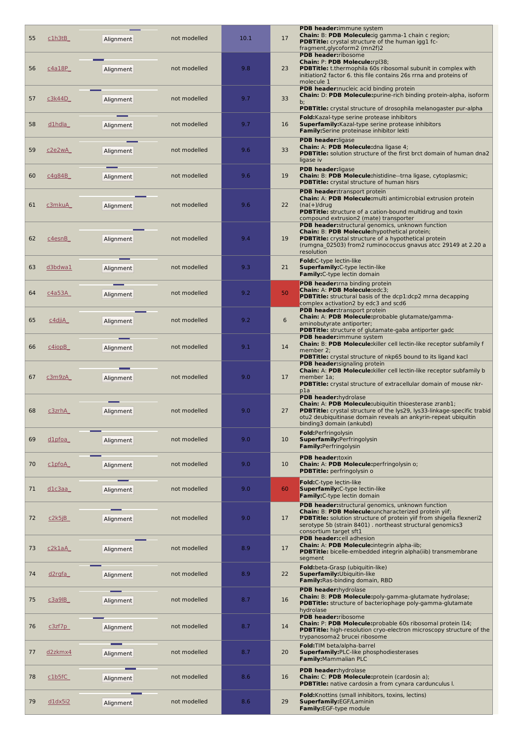| 55 | <u>c1h3tB</u>       | Alignment | not modelled | 10.1 | 17 | PDB header:immune system<br><b>Chain: B: PDB Molecule:</b> ig gamma-1 chain c region;<br><b>PDBTitle:</b> crystal structure of the human igg1 fc-<br>fragment, glycoform2 (mn2f)2                                                                                               |
|----|---------------------|-----------|--------------|------|----|---------------------------------------------------------------------------------------------------------------------------------------------------------------------------------------------------------------------------------------------------------------------------------|
| 56 | c4a18P              | Alignment | not modelled | 9.8  | 23 | PDB header:ribosome<br>Chain: P: PDB Molecule:rpl38;<br><b>PDBTitle:</b> t.thermophila 60s ribosomal subunit in complex with<br>initiation2 factor 6. this file contains 26s rrna and proteins of<br>molecule 1                                                                 |
| 57 | c3k44D              | Alignment | not modelled | 9.7  | 33 | PDB header: nucleic acid binding protein<br>Chain: D: PDB Molecule: purine-rich binding protein-alpha, isoform<br>$b$ :                                                                                                                                                         |
| 58 | d1hdla              | Alignment | not modelled | 9.7  | 16 | <b>PDBTitle:</b> crystal structure of drosophila melanogaster pur-alpha<br>Fold: Kazal-type serine protease inhibitors<br>Superfamily: Kazal-type serine protease inhibitors<br>Family: Serine proteinase inhibitor lekti                                                       |
| 59 | c2e2wA              | Alignment | not modelled | 9.6  | 33 | <b>PDB</b> header:ligase<br>Chain: A: PDB Molecule: dna ligase 4;<br><b>PDBTitle:</b> solution structure of the first brct domain of human dna2<br>ligase iv                                                                                                                    |
| 60 | c4g84B              | Alignment | not modelled | 9.6  | 19 | <b>PDB header:</b> ligase<br>Chain: B: PDB Molecule:histidine--trna ligase, cytoplasmic;<br><b>PDBTitle:</b> crystal structure of human hisrs                                                                                                                                   |
| 61 | c3mkuA              | Alignment | not modelled | 9.6  | 22 | PDB header:transport protein<br>Chain: A: PDB Molecule: multi antimicrobial extrusion protein<br>$(na(+)/drug)$<br>PDBTitle: structure of a cation-bound multidrug and toxin<br>compound extrusion2 (mate) transporter                                                          |
| 62 | c4esnB              | Alignment | not modelled | 9.4  | 19 | PDB header: structural genomics, unknown function<br>Chain: B: PDB Molecule:hypothetical protein;<br><b>PDBTitle:</b> crystal structure of a hypothetical protein<br>(rumgna_02503) from2 ruminococcus gnavus atcc 29149 at 2.20 a<br>resolution                                |
| 63 | d3bdwa1             | Alignment | not modelled | 9.3  | 21 | Fold:C-type lectin-like<br><b>Superfamily:</b> C-type lectin-like<br>Family: C-type lectin domain                                                                                                                                                                               |
| 64 | c4a53A              | Alignment | not modelled | 9.2  | 50 | PDB header: rna binding protein<br>Chain: A: PDB Molecule:edc3;<br><b>PDBTitle:</b> structural basis of the dcp1:dcp2 mrna decapping<br>complex activation2 by edc3 and scd6                                                                                                    |
| 65 | c4djiA              | Alignment | not modelled | 9.2  | 6  | PDB header:transport protein<br>Chain: A: PDB Molecule: probable glutamate/gamma-<br>aminobutyrate antiporter;<br><b>PDBTitle:</b> structure of glutamate-gaba antiporter gadc                                                                                                  |
| 66 | $c4$ iop $B$        | Alignment | not modelled | 9.1  | 14 | PDB header:immune system<br>Chain: B: PDB Molecule: killer cell lectin-like receptor subfamily f<br>member 2:<br>PDBTitle: crystal structure of nkp65 bound to its ligand kacl                                                                                                  |
| 67 | c3m9zA              | Alignment | not modelled | 9.0  | 17 | <b>PDB header:</b> signaling protein<br><b>Chain: A: PDB Molecule:</b> killer cell lectin-like receptor subfamily b<br>member 1a;<br><b>PDBTitle:</b> crystal structure of extracellular domain of mouse nkr-<br>pla                                                            |
| 68 | <u>c3zrhA</u>       | Alignment | not modelled | 9.0  | 27 | PDB header:hydrolase<br><b>Chain: A: PDB Molecule:</b> ubiquitin thioesterase zranb1;<br><b>PDBTitle:</b> crystal structure of the lys29, lys33-linkage-specific trabid<br>otu2 deubiquitinase domain reveals an ankyrin-repeat ubiquitin<br>binding3 domain (ankubd)           |
| 69 | d1pfoa              | Alignment | not modelled | 9.0  | 10 | Fold: Perfringolysin<br>Superfamily: Perfringolysin<br>Family: Perfringolysin                                                                                                                                                                                                   |
| 70 | clpfoA              | Alignment | not modelled | 9.0  | 10 | <b>PDB header:</b> toxin<br>Chain: A: PDB Molecule: perfringolysin o;<br><b>PDBTitle:</b> perfringolysin o                                                                                                                                                                      |
| 71 | $d$ lc $3$ aa       | Alignment | not modelled | 9.0  | 60 | <b>Fold:</b> C-type lectin-like<br><b>Superfamily:</b> C-type lectin-like<br>Family: C-type lectin domain                                                                                                                                                                       |
| 72 | c2k5jB              | Alignment | not modelled | 9.0  | 17 | <b>PDB header:</b> structural genomics, unknown function<br>Chain: B: PDB Molecule:uncharacterized protein yiif;<br>PDBTitle: solution structure of protein yiif from shigella flexneri2<br>serotype 5b (strain 8401). northeast structural genomics3<br>consortium target sft1 |
| 73 | c2k1aA              | Alignment | not modelled | 8.9  | 17 | PDB header:cell adhesion<br>Chain: A: PDB Molecule: integrin alpha-iib;<br>PDBTitle: bicelle-embedded integrin alpha(iib) transmembrane<br>segment                                                                                                                              |
| 74 | <u>d2rgfa</u>       | Alignment | not modelled | 8.9  | 22 | Fold: beta-Grasp (ubiquitin-like)<br>Superfamily: Ubiquitin-like<br>Family: Ras-binding domain, RBD                                                                                                                                                                             |
| 75 | c3a9B               | Alignment | not modelled | 8.7  | 16 | PDB header:hydrolase<br>Chain: B: PDB Molecule:poly-gamma-glutamate hydrolase;<br>PDBTitle: structure of bacteriophage poly-gamma-glutamate<br>hydrolase                                                                                                                        |
| 76 | c3zf7p              | Alignment | not modelled | 8.7  | 14 | PDB header:ribosome<br>Chain: P: PDB Molecule: probable 60s ribosomal protein I14;<br><b>PDBTitle:</b> high-resolution cryo-electron microscopy structure of the<br>trypanosoma2 brucei ribosome                                                                                |
| 77 | d <sub>2zkmx4</sub> | Alignment | not modelled | 8.7  | 20 | Fold: TIM beta/alpha-barrel<br><b>Superfamily: PLC-like phosphodiesterases</b><br>Family: Mammalian PLC                                                                                                                                                                         |
| 78 | c1b5fC              | Alignment | not modelled | 8.6  | 16 | PDB header: hydrolase<br>Chain: C: PDB Molecule: protein (cardosin a);<br><b>PDBTitle:</b> native cardosin a from cynara cardunculus I.                                                                                                                                         |
| 79 | $dldx$ 5i2          | Alignment | not modelled | 8.6  | 29 | <b>Fold:</b> Knottins (small inhibitors, toxins, lectins)<br>Superfamily:EGF/Laminin<br>Family:EGF-type module                                                                                                                                                                  |